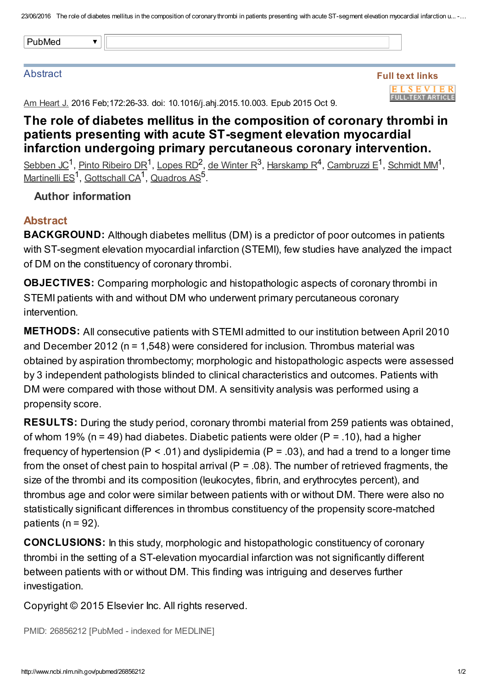|--|

#### **Abstract**

Full text links **ELSEVIER FULL-TEXT ARTICLE** 

Am Heart J. 2016 Feb; 172: 26-33. doi: 10.1016/j. ahj. 2015.10.003. Epub 2015 Oct 9.

# The role of diabetes mellitus in the composition of coronary thrombi in patients presenting with acute ST-segment elevation myocardial infarction undergoing primary percutaneous coronary intervention.

[Sebben](http://www.ncbi.nlm.nih.gov/pubmed/?term=Sebben%20JC%5BAuthor%5D&cauthor=true&cauthor_uid=26856212) JC<sup>1</sup>, Pinto [Ribeiro](http://www.ncbi.nlm.nih.gov/pubmed/?term=Pinto%20Ribeiro%20DR%5BAuthor%5D&cauthor=true&cauthor_uid=26856212) DR<sup>1</sup>, [Lopes](http://www.ncbi.nlm.nih.gov/pubmed/?term=Lopes%20RD%5BAuthor%5D&cauthor=true&cauthor_uid=26856212) RD<sup>2</sup>, de [Winter](http://www.ncbi.nlm.nih.gov/pubmed/?term=de%20Winter%20R%5BAuthor%5D&cauthor=true&cauthor_uid=26856212) R<sup>3</sup>, [Harskamp](http://www.ncbi.nlm.nih.gov/pubmed/?term=Harskamp%20R%5BAuthor%5D&cauthor=true&cauthor_uid=26856212) R<sup>4</sup>, [Cambruzzi](http://www.ncbi.nlm.nih.gov/pubmed/?term=Cambruzzi%20E%5BAuthor%5D&cauthor=true&cauthor_uid=26856212) E<sup>1</sup>, [Schmidt](http://www.ncbi.nlm.nih.gov/pubmed/?term=Schmidt%20MM%5BAuthor%5D&cauthor=true&cauthor_uid=26856212) MM<sup>1</sup>, [Martinelli](http://www.ncbi.nlm.nih.gov/pubmed/?term=Martinelli%20ES%5BAuthor%5D&cauthor=true&cauthor_uid=26856212) ES<sup>1</sup>, [Gottschall](http://www.ncbi.nlm.nih.gov/pubmed/?term=Gottschall%20CA%5BAuthor%5D&cauthor=true&cauthor_uid=26856212) CA<sup>1</sup>, [Quadros](http://www.ncbi.nlm.nih.gov/pubmed/?term=Quadros%20AS%5BAuthor%5D&cauthor=true&cauthor_uid=26856212) AS<sup>5</sup>.

### Author information

## Abstract

**BACKGROUND:** Although diabetes mellitus (DM) is a predictor of poor outcomes in patients with ST-segment elevation myocardial infarction (STEMI), few studies have analyzed the impact of DM on the constituency of coronary thrombi.

OBJECTIVES: Comparing morphologic and histopathologic aspects of coronary thrombi in STEMI patients with and without DM who underwent primary percutaneous coronary intervention.

METHODS: All consecutive patients with STEMI admitted to our institution between April 2010 and December 2012 (n = 1,548) were considered for inclusion. Thrombus material was obtained by aspiration thrombectomy; morphologic and histopathologic aspects were assessed by 3 independent pathologists blinded to clinical characteristics and outcomes. Patients with DM were compared with those without DM. A sensitivity analysis was performed using a propensity score.

RESULTS: During the study period, coronary thrombi material from 259 patients was obtained, of whom 19% (n = 49) had diabetes. Diabetic patients were older (P = .10), had a higher frequency of hypertension ( $P < .01$ ) and dyslipidemia ( $P = .03$ ), and had a trend to a longer time from the onset of chest pain to hospital arrival ( $P = .08$ ). The number of retrieved fragments, the size of the thrombi and its composition (leukocytes, fibrin, and erythrocytes percent), and thrombus age and color were similar between patients with or without DM. There were also no statistically significant differences in thrombus constituency of the propensity score-matched patients ( $n = 92$ ).

CONCLUSIONS: In this study, morphologic and histopathologic constituency of coronary thrombi in the setting of a ST-elevation myocardial infarction was not significantly different between patients with or without DM. This finding was intriguing and deserves further investigation.

Copyright © 2015 Elsevier Inc. All rights reserved.

PMID: 26856212 [PubMed - indexed for MEDLINE]